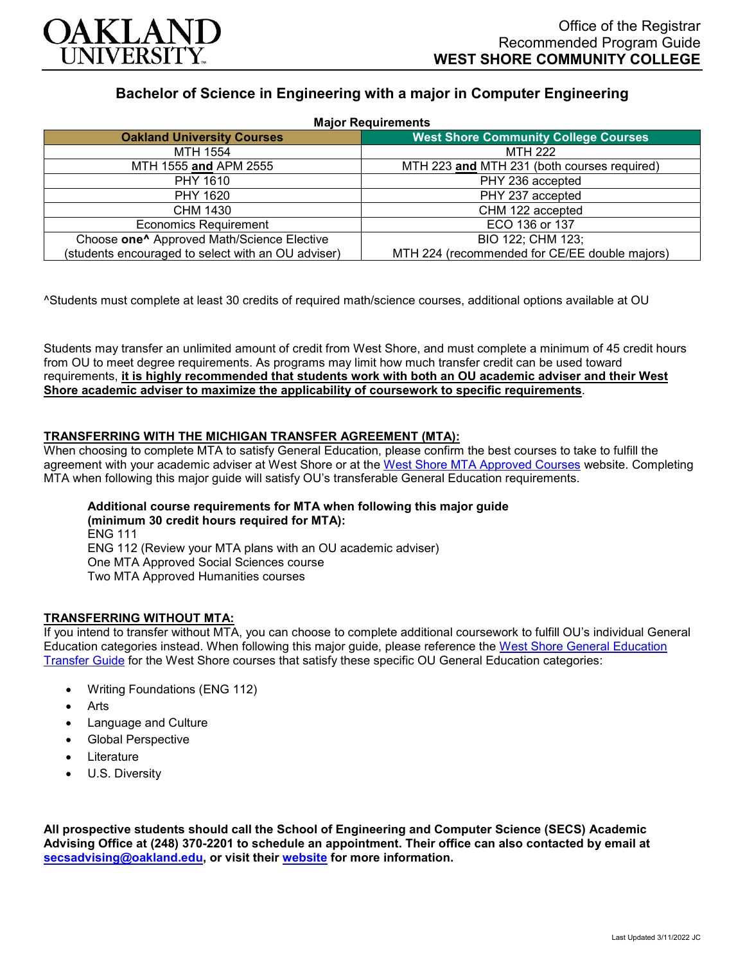

## **Bachelor of Science in Engineering with a major in Computer Engineering**

| <b>Major Requirements</b>                              |                                               |
|--------------------------------------------------------|-----------------------------------------------|
| <b>Oakland University Courses</b>                      | <b>West Shore Community College Courses</b>   |
| MTH 1554                                               | <b>MTH 222</b>                                |
| MTH 1555 and APM 2555                                  | MTH 223 and MTH 231 (both courses required)   |
| PHY 1610                                               | PHY 236 accepted                              |
| PHY 1620                                               | PHY 237 accepted                              |
| CHM 1430                                               | CHM 122 accepted                              |
| <b>Economics Requirement</b>                           | ECO 136 or 137                                |
| Choose one <sup>^</sup> Approved Math/Science Elective | BIO 122; CHM 123;                             |
| (students encouraged to select with an OU adviser)     | MTH 224 (recommended for CE/EE double majors) |

^Students must complete at least 30 credits of required math/science courses, additional options available at OU

Students may transfer an unlimited amount of credit from West Shore, and must complete a minimum of 45 credit hours from OU to meet degree requirements. As programs may limit how much transfer credit can be used toward requirements, **it is highly recommended that students work with both an OU academic adviser and their West Shore academic adviser to maximize the applicability of coursework to specific requirements**.

## **TRANSFERRING WITH THE MICHIGAN TRANSFER AGREEMENT (MTA):**

When choosing to complete MTA to satisfy General Education, please confirm the best courses to take to fulfill the agreement with your academic adviser at West Shore or at the [West Shore MTA Approved Courses](https://www.westshore.edu/admissions/transfer-students/) website. Completing MTA when following this major guide will satisfy OU's transferable General Education requirements.

# **Additional course requirements for MTA when following this major guide**

**(minimum 30 credit hours required for MTA):** ENG 111 ENG 112 (Review your MTA plans with an OU academic adviser) One MTA Approved Social Sciences course Two MTA Approved Humanities courses

## **TRANSFERRING WITHOUT MTA:**

If you intend to transfer without MTA, you can choose to complete additional coursework to fulfill OU's individual General Education categories instead. When following this major guide, please reference the [West Shore General Education](https://www.oakland.edu/Assets/Oakland/program-guides/west-shore-community-college/university-general-education-requirements/West%20Shore%20Gen%20Ed.pdf)  [Transfer Guide](https://www.oakland.edu/Assets/Oakland/program-guides/west-shore-community-college/university-general-education-requirements/West%20Shore%20Gen%20Ed.pdf) for the West Shore courses that satisfy these specific OU General Education categories:

- Writing Foundations (ENG 112)
- **Arts**
- Language and Culture
- Global Perspective
- **Literature**
- U.S. Diversity

**All prospective students should call the School of Engineering and Computer Science (SECS) Academic Advising Office at (248) 370-2201 to schedule an appointment. Their office can also contacted by email at [secsadvising@oakland.edu,](mailto:secsadvising@oakland.edu) or visit their [website](https://wwwp.oakland.edu/secs/advising/) for more information.**